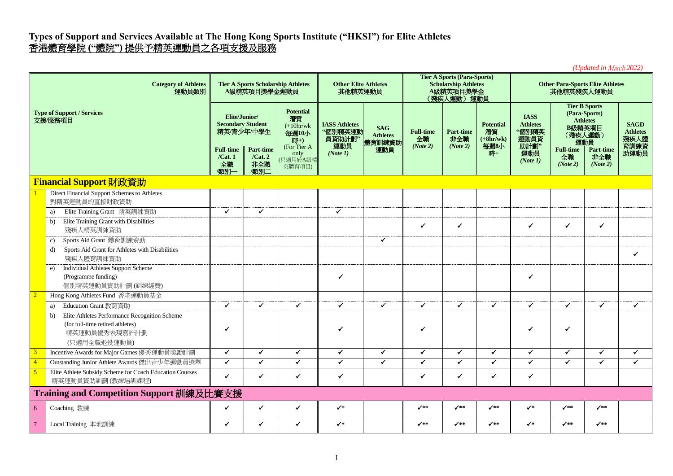## **Types of Support and Services Available at The Hong Kong Sports Institute ("HKSI") for Elite Athletes** 香港體育學院 **("**體院**")** 提供予精英運動員之各項支援及服務

|                                              |                                                                                                                          |                                                           |                                          |                                                        |                                                  |                                         |                                                                                               |                                     |                                       |                                                         |                                                                                      | (Updated in March 2022)      |                                        |
|----------------------------------------------|--------------------------------------------------------------------------------------------------------------------------|-----------------------------------------------------------|------------------------------------------|--------------------------------------------------------|--------------------------------------------------|-----------------------------------------|-----------------------------------------------------------------------------------------------|-------------------------------------|---------------------------------------|---------------------------------------------------------|--------------------------------------------------------------------------------------|------------------------------|----------------------------------------|
|                                              | <b>Category of Athletes</b><br>運動員類別                                                                                     | <b>Tier A Sports Scholarship Athletes</b><br>A級精英項目獎學金運動員 |                                          |                                                        | <b>Other Elite Athletes</b><br>其他精英運動員           |                                         | <b>Tier A Sports (Para-Sports)</b><br><b>Scholarship Athletes</b><br>A級精英項目獎學金<br>(殘疾人運動) 運動員 |                                     |                                       | <b>Other Para-Sports Elite Athletes</b><br>其他精英殘疾人運動員   |                                                                                      |                              |                                        |
| <b>Type of Support / Services</b><br>支援/服務項目 |                                                                                                                          | Elite/Junior/<br><b>Secondary Student</b><br>精英/青少年/中學生   |                                          | <b>Potential</b><br>潛質<br>$(+10hr/wk)$<br>每週10小<br>時+) | <b>IASS Athletes</b><br>"個別精英運動<br>員資助計劃"<br>運動員 | <b>SAG</b><br><b>Athletes</b><br>體育訓練資助 | <b>Full-time</b><br>全職<br>(Note 2)                                                            | <b>Part-time</b><br>非全職<br>(Note 2) | <b>Potential</b><br>潛質<br>$(+8hr/wk)$ | <b>IASS</b><br><b>Athletes</b><br>"個別精英<br>運動員資<br>助計劃" | <b>Tier B Sports</b><br>(Para-Sports)<br><b>Athletes</b><br>B級精英項目<br>(殘疾人運動)<br>運動員 |                              | <b>SAGD</b><br><b>Athletes</b><br>殘疾人體 |
|                                              |                                                                                                                          | <b>Full-time</b><br>/Cat.1<br>全職<br>/類別一                  | <b>Part-time</b><br>/Cat.2<br>非全職<br>煩別二 | (For Tier A<br>only<br>只適用於A級精<br>英體育項目)               | (Note 1)                                         | 運動員                                     |                                                                                               |                                     | 每週8小<br>時+                            | 運動員<br>(Note 1)                                         | <b>Full-time</b><br>全職<br>(Note 2)                                                   | Part-time<br>非全職<br>(Note 2) | 育訓練資<br>助運動員                           |
|                                              | Financial Support 財政資助                                                                                                   |                                                           |                                          |                                                        |                                                  |                                         |                                                                                               |                                     |                                       |                                                         |                                                                                      |                              |                                        |
|                                              | Direct Financial Support Schemes to Athletes<br>對精英運動員的直接財政資助                                                            |                                                           |                                          |                                                        |                                                  |                                         |                                                                                               |                                     |                                       |                                                         |                                                                                      |                              |                                        |
|                                              | Elite Training Grant 精英訓練資助<br>a)                                                                                        | $\checkmark$                                              | $\checkmark$                             |                                                        | $\checkmark$                                     |                                         |                                                                                               |                                     |                                       |                                                         |                                                                                      |                              |                                        |
|                                              | Elite Training Grant with Disabilities<br>b)<br>殘疾人精英訓練資助                                                                |                                                           |                                          |                                                        |                                                  |                                         | $\checkmark$                                                                                  | ✓                                   |                                       | $\checkmark$                                            | $\checkmark$                                                                         | $\checkmark$                 |                                        |
|                                              | Sports Aid Grant 體育訓練資助<br>$\mathbf{c}$                                                                                  |                                                           |                                          |                                                        |                                                  | $\checkmark$                            |                                                                                               |                                     |                                       |                                                         |                                                                                      |                              |                                        |
|                                              | Sports Aid Grant for Athletes with Disabilities<br>d)<br>殘疾人體育訓練資助                                                       |                                                           |                                          |                                                        |                                                  |                                         |                                                                                               |                                     |                                       |                                                         |                                                                                      |                              | $\checkmark$                           |
|                                              | <b>Individual Athletes Support Scheme</b><br>e)<br>(Programme funding)                                                   |                                                           |                                          |                                                        | $\checkmark$                                     |                                         |                                                                                               |                                     |                                       | $\checkmark$                                            |                                                                                      |                              |                                        |
| $\overline{2}$                               | 個別精英運動員資助計劃(訓練經費)<br>Hong Kong Athletes Fund 香港運動員基金                                                                     |                                                           |                                          |                                                        |                                                  |                                         |                                                                                               |                                     |                                       |                                                         |                                                                                      |                              |                                        |
|                                              | Education Grant 教育資助<br>a)                                                                                               | $\checkmark$                                              | $\checkmark$                             | $\checkmark$                                           | $\checkmark$                                     | $\checkmark$                            | $\checkmark$                                                                                  | ✔                                   | $\checkmark$                          | $\checkmark$                                            | $\checkmark$                                                                         | $\checkmark$                 | $\checkmark$                           |
|                                              | Elite Athletes Performance Recognition Scheme<br>b)<br>(for full-time retired athletes)<br>精英運動員優秀表現嘉許計劃<br>(只適用全職退役運動員) | ✔                                                         |                                          |                                                        | ✔                                                |                                         | $\checkmark$                                                                                  |                                     |                                       | ✔                                                       | ✔                                                                                    |                              |                                        |
|                                              | Incentive Awards for Major Games 優秀運動員獎勵計劃                                                                               | $\checkmark$                                              | $\checkmark$                             | $\checkmark$                                           | $\checkmark$                                     | $\checkmark$                            | $\checkmark$                                                                                  | $\checkmark$                        | $\checkmark$                          | $\checkmark$                                            | $\checkmark$                                                                         | $\checkmark$                 | $\checkmark$                           |
|                                              | Outstanding Junior Athlete Awards 傑出青少年運動員選舉                                                                             | $\checkmark$                                              | $\checkmark$                             | $\checkmark$                                           | $\checkmark$                                     | $\checkmark$                            | $\checkmark$                                                                                  | $\checkmark$                        | $\checkmark$                          | $\checkmark$                                            | $\checkmark$                                                                         | $\checkmark$                 | ✓                                      |
| $\sqrt{5}$                                   | Elite Athlete Subsidy Scheme for Coach Education Courses<br>精英運動員資助訓劃 (教練培訓課程)                                           | $\checkmark$                                              | $\checkmark$                             | $\checkmark$                                           | $\checkmark$                                     |                                         | $\checkmark$                                                                                  | ✓                                   | ✓                                     | ✓                                                       |                                                                                      |                              |                                        |
|                                              | Training and Competition Support 訓練及比賽支援                                                                                 |                                                           |                                          |                                                        |                                                  |                                         |                                                                                               |                                     |                                       |                                                         |                                                                                      |                              |                                        |
| 6                                            | Coaching 教練                                                                                                              | $\checkmark$                                              | $\checkmark$                             | $\checkmark$                                           | $\checkmark$                                     |                                         | $\checkmark$                                                                                  | $\checkmark$                        | ✔                                     | $\checkmark$                                            | $\sqrt{**}$                                                                          | $\checkmark$                 |                                        |
| $7\phantom{.0}$                              | Local Training 本地訓練                                                                                                      | $\checkmark$                                              | ✓                                        | ✔                                                      | $\checkmark$                                     |                                         | $\checkmark$                                                                                  | $\checkmark$                        | $\checkmark$                          | $\checkmark$                                            | $\checkmark$                                                                         | $\checkmark$                 |                                        |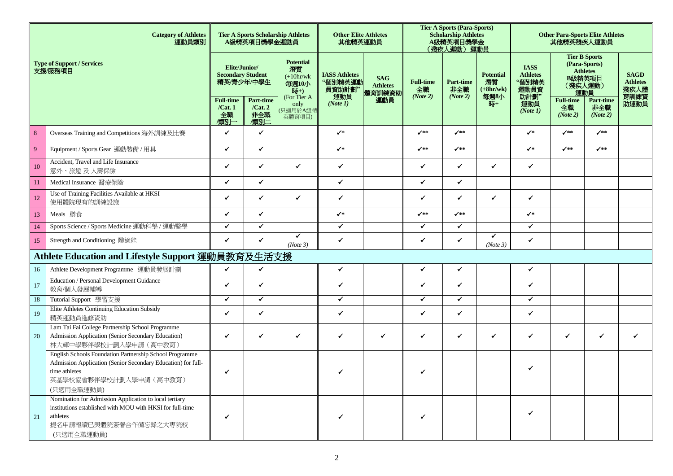| <b>Category of Athletes</b><br>運動員類別<br><b>Type of Support / Services</b><br>支援/服務項目 |                                                                                                                                                                                   | <b>Tier A Sports Scholarship Athletes</b><br>A級精英項目獎學金運動員 |                                           |                                                        | <b>Other Elite Athletes</b><br>其他精英運動員    |                                         |                        | <b>Tier A Sports (Para-Sports)</b><br><b>Scholarship Athletes</b><br>A級精英項目獎學金<br>(殘疾人運動) 運動員 |                                       | <b>Other Para-Sports Elite Athletes</b><br>其他精英殘疾人運動員 |                                                                                      |                                     |                                        |
|--------------------------------------------------------------------------------------|-----------------------------------------------------------------------------------------------------------------------------------------------------------------------------------|-----------------------------------------------------------|-------------------------------------------|--------------------------------------------------------|-------------------------------------------|-----------------------------------------|------------------------|-----------------------------------------------------------------------------------------------|---------------------------------------|-------------------------------------------------------|--------------------------------------------------------------------------------------|-------------------------------------|----------------------------------------|
|                                                                                      |                                                                                                                                                                                   | Elite/Junior/<br><b>Secondary Student</b><br>精英/青少年/中學生   |                                           | <b>Potential</b><br>潛質<br>$(+10hr/wk)$<br>每週10小<br>時+) | <b>IASS Athletes</b><br>"個別精英運動<br>員資助計劃" | <b>SAG</b><br><b>Athletes</b><br>體育訓練資助 | <b>Full-time</b><br>全職 | Part-time<br>非全職                                                                              | <b>Potential</b><br>潛質<br>$(+8hr/wk)$ | <b>IASS</b><br><b>Athletes</b><br>"個別精英<br>運動員資       | <b>Tier B Sports</b><br>(Para-Sports)<br><b>Athletes</b><br>B級精英項目<br>(残疾人運動)<br>運動員 |                                     | <b>SAGD</b><br><b>Athletes</b><br>殘疾人體 |
|                                                                                      |                                                                                                                                                                                   | <b>Full-time</b><br>/Cat.1<br>全職<br>/類別-                  | <b>Part-time</b><br>/Cat.2<br>非全職<br>/類別二 | (For Tier A<br>only<br>只適用於A級精<br>英體育項目)               | 運動員<br>(Note 1)                           | 運動員                                     | (Note 2)               | (Note 2)                                                                                      | 每週8小<br>時+                            | 助計劃"<br>運動員<br>(Note 1)                               | <b>Full-time</b><br>全職<br>(Note 2)                                                   | <b>Part-time</b><br>非全職<br>(Note 2) | 育訓練資<br>助運動員                           |
| 8                                                                                    | Overseas Training and Competitions 海外訓練及比賽                                                                                                                                        | $\checkmark$                                              | $\checkmark$                              |                                                        | $\checkmark$                              |                                         | $\checkmark$           | $\checkmark$                                                                                  |                                       | $\checkmark$                                          | $\checkmark$                                                                         | $\checkmark$                        |                                        |
| $\mathbf{q}$                                                                         | Equipment / Sports Gear 運動裝備 / 用具                                                                                                                                                 | $\checkmark$                                              | $\checkmark$                              |                                                        | $\checkmark$                              |                                         | $\checkmark$           | $\checkmark$                                                                                  |                                       | $\checkmark$                                          | $\checkmark$                                                                         | $\checkmark$                        |                                        |
| 10                                                                                   | Accident, Travel and Life Insurance<br>意外、旅遊 及 人壽保險                                                                                                                               | $\checkmark$                                              | $\checkmark$                              | $\checkmark$                                           | ✓                                         |                                         | $\checkmark$           | $\checkmark$                                                                                  | $\checkmark$                          | $\checkmark$                                          |                                                                                      |                                     |                                        |
| 11                                                                                   | Medical Insurance 醫療保險                                                                                                                                                            | $\checkmark$                                              | $\checkmark$                              |                                                        | $\checkmark$                              |                                         | $\checkmark$           | $\checkmark$                                                                                  |                                       |                                                       |                                                                                      |                                     |                                        |
| 12                                                                                   | Use of Training Facilities Available at HKSI<br>使用體院現有的訓練設施                                                                                                                       | $\checkmark$                                              | $\checkmark$                              | $\checkmark$                                           | ✓                                         |                                         | $\checkmark$           | $\checkmark$                                                                                  | $\checkmark$                          | ✓                                                     |                                                                                      |                                     |                                        |
| 13                                                                                   | Meals 膳食                                                                                                                                                                          | $\checkmark$                                              | $\checkmark$                              |                                                        | $\checkmark$                              |                                         | $\checkmark$           | $\checkmark$                                                                                  |                                       | $\checkmark$                                          |                                                                                      |                                     |                                        |
| 14                                                                                   | Sports Science / Sports Medicine 運動科學 / 運動醫學                                                                                                                                      | $\checkmark$                                              | $\checkmark$                              |                                                        | $\checkmark$                              |                                         | $\checkmark$           | $\checkmark$                                                                                  |                                       | $\checkmark$                                          |                                                                                      |                                     |                                        |
| 15                                                                                   | Strength and Conditioning 體適能                                                                                                                                                     | $\checkmark$                                              | $\checkmark$                              | ✔<br>(Note3)                                           | $\checkmark$                              |                                         | $\checkmark$           | $\checkmark$                                                                                  | ✓<br>(Note 3)                         | $\checkmark$                                          |                                                                                      |                                     |                                        |
|                                                                                      | Athlete Education and Lifestyle Support 運動員教育及生活支援                                                                                                                                |                                                           |                                           |                                                        |                                           |                                         |                        |                                                                                               |                                       |                                                       |                                                                                      |                                     |                                        |
| 16                                                                                   | Athlete Development Programme 運動員發展計劃                                                                                                                                             | $\checkmark$                                              | $\checkmark$                              |                                                        | ✓                                         |                                         | $\checkmark$           | $\checkmark$                                                                                  |                                       | ✓                                                     |                                                                                      |                                     |                                        |
| 17                                                                                   | Education / Personal Development Guidance<br>教育/個人發展輔導                                                                                                                            | $\checkmark$                                              | $\checkmark$                              |                                                        | $\checkmark$                              |                                         | $\checkmark$           | $\checkmark$                                                                                  |                                       | ✓                                                     |                                                                                      |                                     |                                        |
| 18                                                                                   | Tutorial Support 學習支援                                                                                                                                                             | $\checkmark$                                              | $\checkmark$                              |                                                        | ✓                                         |                                         | $\checkmark$           | $\checkmark$                                                                                  |                                       | ✓                                                     |                                                                                      |                                     |                                        |
| 19                                                                                   | Elite Athletes Continuing Education Subsidy<br>精英運動員進修資助                                                                                                                          | $\checkmark$                                              | $\checkmark$                              |                                                        | ✓                                         |                                         | $\checkmark$           | ✓                                                                                             |                                       | ✓                                                     |                                                                                      |                                     |                                        |
| 20                                                                                   | Lam Tai Fai College Partnership School Programme<br>Admission Application (Senior Secondary Education)<br>林大輝中學夥伴學校計劃入學申請 (高中教育)                                                  | $\checkmark$                                              | $\checkmark$                              | $\checkmark$                                           | $\checkmark$                              | ✔                                       | $\checkmark$           | ✔                                                                                             | $\checkmark$                          | ✔                                                     | $\checkmark$                                                                         | $\checkmark$                        |                                        |
|                                                                                      | English Schools Foundation Partnership School Programme<br>Admission Application (Senior Secondary Education) for full-<br>time athletes<br>英基學校協會夥伴學校計劃入學申請 (高中教育)<br>(只適用全職運動員) | $\checkmark$                                              |                                           |                                                        |                                           |                                         |                        |                                                                                               |                                       |                                                       |                                                                                      |                                     |                                        |
| 21                                                                                   | Nomination for Admission Application to local tertiary<br>institutions established with MOU with HKSI for full-time<br>athletes<br>提名申請報讀已與體院簽署合作備忘錄之大專院校<br>(只適用全職運動員)           | ✓                                                         |                                           |                                                        |                                           |                                         |                        |                                                                                               |                                       |                                                       |                                                                                      |                                     |                                        |